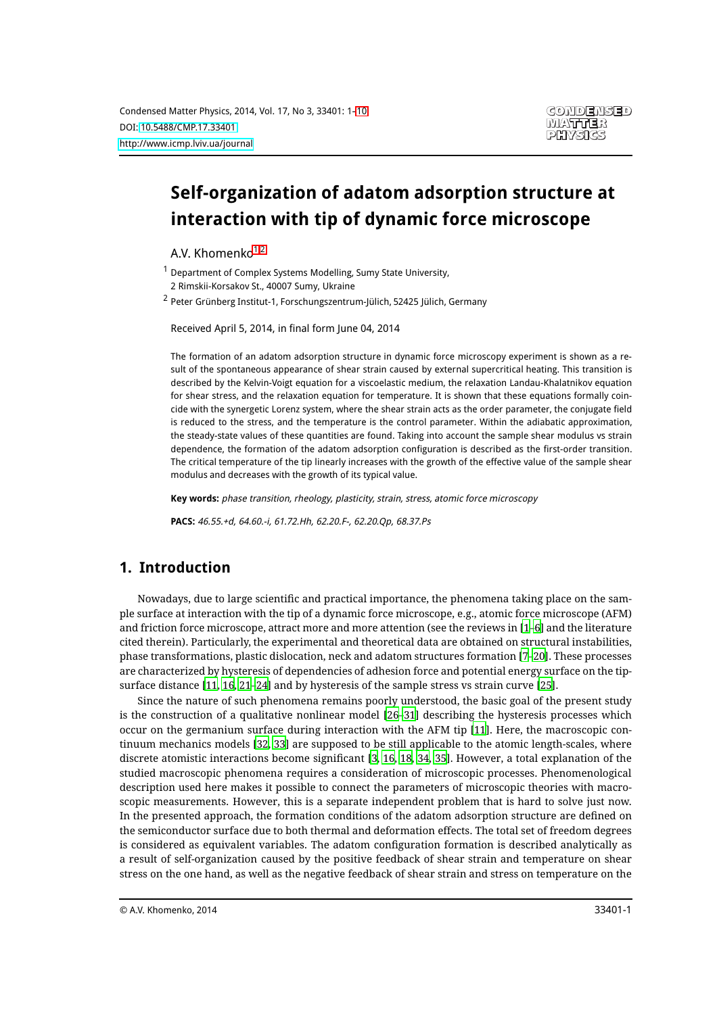# **Self-organization of adatom adsorption structure at interaction with tip of dynamic force microscope**

<span id="page-0-0"></span>A.V. Khomenko<sup>[1](#page-0-0)[,2](#page-0-1)</sup>

<sup>1</sup> Department of Complex Systems Modelling, Sumy State University,

<span id="page-0-1"></span>2 Rimskii-Korsakov St., 40007 Sumy, Ukraine

<sup>2</sup> Peter Grünberg Institut-1, Forschungszentrum-Jülich, 52425 Jülich, Germany

Received April 5, 2014, in final form June 04, 2014

The formation of an adatom adsorption structure in dynamic force microscopy experiment is shown as a result of the spontaneous appearance of shear strain caused by external supercritical heating. This transition is described by the Kelvin-Voigt equation for a viscoelastic medium, the relaxation Landau-Khalatnikov equation for shear stress, and the relaxation equation for temperature. It is shown that these equations formally coincide with the synergetic Lorenz system, where the shear strain acts as the order parameter, the conjugate field is reduced to the stress, and the temperature is the control parameter. Within the adiabatic approximation, the steady-state values of these quantities are found. Taking into account the sample shear modulus vs strain dependence, the formation of the adatom adsorption configuration is described as the first-order transition. The critical temperature of the tip linearly increases with the growth of the effective value of the sample shear modulus and decreases with the growth of its typical value.

**Key words:** phase transition, rheology, plasticity, strain, stress, atomic force microscopy

**PACS:** 46.55.+d, 64.60.-i, 61.72.Hh, 62.20.F-, 62.20.Qp, 68.37.Ps

## **1. Introduction**

Nowadays, due to large scientific and practical importance, the phenomena taking place on the sample surface at interaction with the tip of a dynamic force microscope, e.g., atomic force microscope (AFM) and friction force microscope, attract more and more attention (see the reviews in [\[1](#page-7-0)[–6](#page-7-1)] and the literature cited therein). Particularly, the experimental and theoretical data are obtained on structural instabilities, phase transformations, plastic dislocation, neck and adatom structures formation [\[7](#page-7-2)[–20](#page-8-0)]. These processes are characterized by hysteresis of dependencies of adhesion force and potential energy surface on the tipsurface distance [\[11](#page-7-3), [16](#page-7-4), [21](#page-8-1)[–24](#page-8-2)] and by hysteresis of the sample stress vs strain curve [\[25\]](#page-8-3).

Since the nature of such phenomena remains poorly understood, the basic goal of the present study is the construction of a qualitative nonlinear model [\[26](#page-8-4)[–31\]](#page-8-5) describing the hysteresis processes which occur on the germanium surface during interaction with the AFM tip [\[11](#page-7-3)]. Here, the macroscopic continuum mechanics models [\[32,](#page-8-6) [33\]](#page-8-7) are supposed to be still applicable to the atomic length-scales, where discrete atomistic interactions become significant [\[3](#page-7-5), [16](#page-7-4), [18,](#page-8-8) [34](#page-8-9), [35\]](#page-8-10). However, a total explanation of the studied macroscopic phenomena requires a consideration of microscopic processes. Phenomenological description used here makes it possible to connect the parameters of microscopic theories with macroscopic measurements. However, this is a separate independent problem that is hard to solve just now. In the presented approach, the formation conditions of the adatom adsorption structure are defined on the semiconductor surface due to both thermal and deformation effects. The total set of freedom degrees is considered as equivalent variables. The adatom configuration formation is described analytically as a result of self-organization caused by the positive feedback of shear strain and temperature on shear stress on the one hand, as well as the negative feedback of shear strain and stress on temperature on the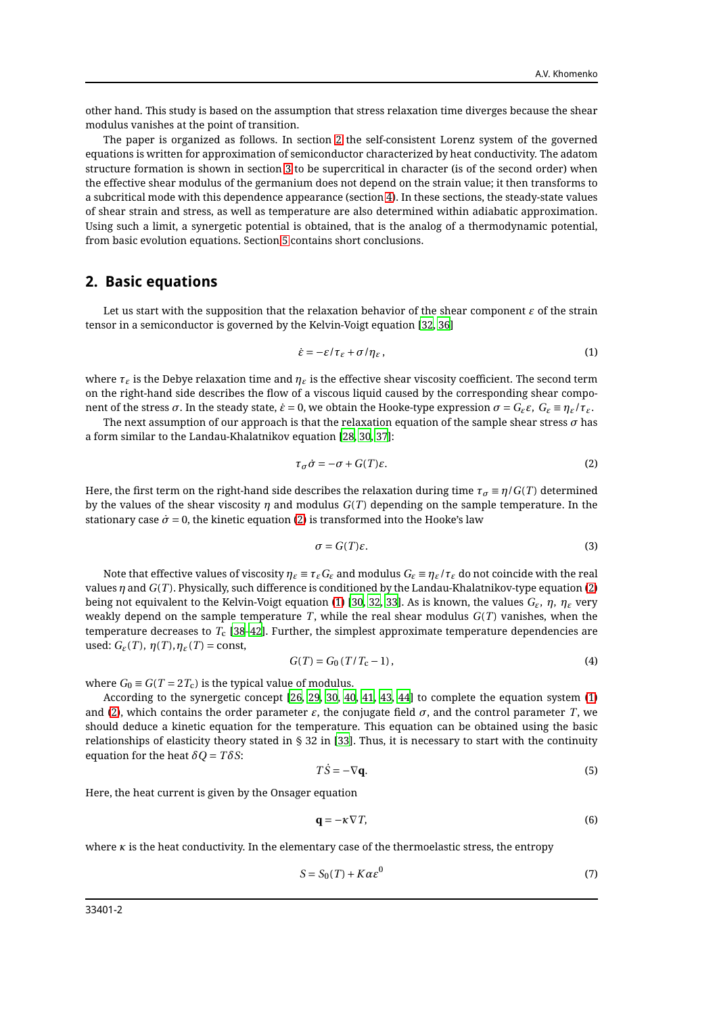other hand. This study is based on the assumption that stress relaxation time diverges because the shear modulus vanishes at the point of transition.

The paper is organized as follows. In section [2](#page-1-0) the self-consistent Lorenz system of the governed equations is written for approximation of semiconductor characterized by heat conductivity. The adatom structure formation is shown in section [3](#page-2-0) to be supercritical in character (is of the second order) when the effective shear modulus of the germanium does not depend on the strain value; it then transforms to a subcritical mode with this dependence appearance (section [4\)](#page-4-0). In these sections, the steady-state values of shear strain and stress, as well as temperature are also determined within adiabatic approximation. Using such a limit, a synergetic potential is obtained, that is the analog of a thermodynamic potential, from basic evolution equations. Section [5](#page-6-0) contains short conclusions.

#### <span id="page-1-0"></span>**2. Basic equations**

Let us start with the supposition that the relaxation behavior of the shear component  $\varepsilon$  of the strain tensor in a semiconductor is governed by the Kelvin-Voigt equation [\[32,](#page-8-6) [36](#page-8-11)]

<span id="page-1-2"></span>
$$
\dot{\varepsilon} = -\varepsilon/\tau_{\varepsilon} + \sigma/\eta_{\varepsilon},\tag{1}
$$

where *τ<sup>ε</sup>* is the Debye relaxation time and *η<sup>ε</sup>* is the effective shear viscosity coefficient. The second term on the right-hand side describes the flow of a viscous liquid caused by the corresponding shear component of the stress *σ*. In the steady state,  $\dot{\epsilon} = 0$ , we obtain the Hooke-type expression  $σ = G_{\epsilon}ε$ ,  $G_{\epsilon} = η_{\epsilon}/τ_{\epsilon}$ .

The next assumption of our approach is that the relaxation equation of the sample shear stress  $\sigma$  has a form similar to the Landau-Khalatnikov equation [\[28,](#page-8-12) [30,](#page-8-13) [37\]](#page-8-14):

<span id="page-1-1"></span>
$$
\tau_{\sigma}\dot{\sigma} = -\sigma + G(T)\varepsilon. \tag{2}
$$

Here, the first term on the right-hand side describes the relaxation during time  $\tau_\sigma \equiv \eta/G(T)$  determined by the values of the shear viscosity *η* and modulus *G*(*T* ) depending on the sample temperature. In the stationary case  $\dot{\sigma} = 0$ , the kinetic equation [\(2\)](#page-1-1) is transformed into the Hooke's law

$$
\sigma = G(T)\varepsilon. \tag{3}
$$

Note that effective values of viscosity  $\eta$ <sub>*ε*</sub>  $\equiv \tau$ <sub>*ε*</sub> $G$ *<sub><i>ε*</sub> and modulus  $G$ <sub>*ε*</sub>  $\equiv \eta$ <sub>*ε*</sub>/ $\tau$ <sub>*ε*</sub> do not coincide with the real values *η* and *G*(*T* ). Physically, such difference is conditioned by the Landau-Khalatnikov-type equation [\(2\)](#page-1-1) being not equivalent to the Kelvin-Voigt equation [\(1\)](#page-1-2) [\[30](#page-8-13), [32,](#page-8-6) [33\]](#page-8-7). As is known, the values *Gε*, *η*, *η<sup>ε</sup>* very weakly depend on the sample temperature  $T$ , while the real shear modulus  $G(T)$  vanishes, when the temperature decreases to *T*<sup>c</sup> [\[38](#page-8-15)[–42](#page-8-16)]. Further, the simplest approximate temperature dependencies are used:  $G_{\varepsilon}(T)$ ,  $\eta(T), \eta_{\varepsilon}(T) = \text{const}$ ,

<span id="page-1-4"></span>
$$
G(T) = G_0 \left( T / T_c - 1 \right),\tag{4}
$$

where  $G_0 \equiv G(T = 2T_c)$  is the typical value of modulus.

According to the synergetic concept [\[26,](#page-8-4) [29,](#page-8-17) [30](#page-8-13), [40](#page-8-18), [41](#page-8-19), [43](#page-8-20), [44](#page-8-21)] to complete the equation system [\(1\)](#page-1-2) and [\(2\)](#page-1-1), which contains the order parameter  $\varepsilon$ , the conjugate field  $\sigma$ , and the control parameter *T*, we should deduce a kinetic equation for the temperature. This equation can be obtained using the basic relationships of elasticity theory stated in § 32 in [\[33\]](#page-8-7). Thus, it is necessary to start with the continuity equation for the heat  $\delta Q = T \delta S$ :

<span id="page-1-3"></span>
$$
T\dot{S} = -\nabla \mathbf{q}.\tag{5}
$$

Here, the heat current is given by the Onsager equation

$$
\mathbf{q} = -\kappa \nabla T,\tag{6}
$$

where  $\kappa$  is the heat conductivity. In the elementary case of the thermoelastic stress, the entropy

$$
S = S_0(T) + K\alpha \varepsilon^0 \tag{7}
$$

33401-2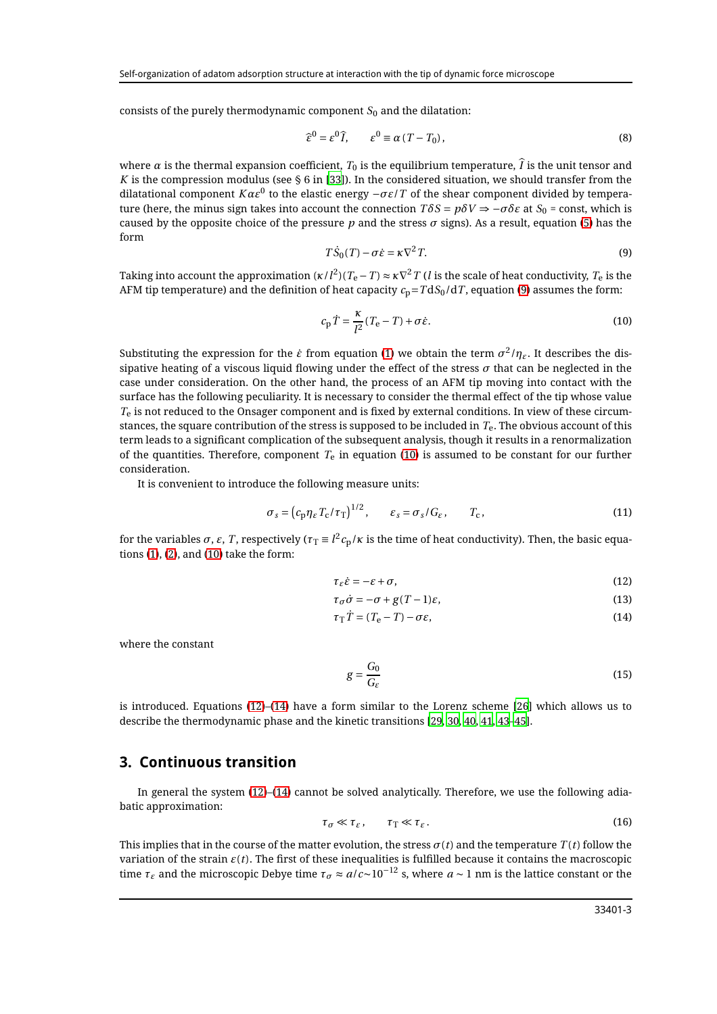consists of the purely thermodynamic component  $S_0$  and the dilatation:

$$
\widehat{\epsilon}^0 = \epsilon^0 \widehat{I}, \qquad \epsilon^0 \equiv \alpha \left( T - T_0 \right), \tag{8}
$$

where  $\alpha$  is the thermal expansion coefficient,  $T_0$  is the equilibrium temperature,  $\hat{I}$  is the unit tensor and *K* is the compression modulus (see  $\S 6$  in [\[33](#page-8-7)]). In the considered situation, we should transfer from the dilatational component  $K\alpha\varepsilon^0$  to the elastic energy  $-\sigma\varepsilon/T$  of the shear component divided by temperature (here, the minus sign takes into account the connection  $T\delta S = p\delta V \Rightarrow -\sigma\delta \epsilon$  at  $S_0$  = const, which is caused by the opposite choice of the pressure *p* and the stress  $\sigma$  signs). As a result, equation [\(5\)](#page-1-3) has the form

<span id="page-2-1"></span>
$$
T\dot{S}_0(T) - \sigma \dot{\varepsilon} = \kappa \nabla^2 T. \tag{9}
$$

Taking into account the approximation ( $\kappa$ / $l^2$ )( $T_{\rm e}-T$ )  $\approx$   $\kappa\nabla^2 T$  ( $l$  is the scale of heat conductivity,  $T_{\rm e}$  is the AFM tip temperature) and the definition of heat capacity  $c_p = T dS_0/dT$ , equation [\(9\)](#page-2-1) assumes the form:

<span id="page-2-2"></span>
$$
c_{\rm p}\dot{T} = \frac{\kappa}{l^2}(T_{\rm e} - T) + \sigma\dot{\varepsilon}.\tag{10}
$$

Substituting the expression for the  $\dot{\varepsilon}$  from equation [\(1\)](#page-1-2) we obtain the term  $\sigma^2/\eta_{\varepsilon}.$  It describes the dissipative heating of a viscous liquid flowing under the effect of the stress  $\sigma$  that can be neglected in the case under consideration. On the other hand, the process of an AFM tip moving into contact with the surface has the following peculiarity. It is necessary to consider the thermal effect of the tip whose value *T*<sup>e</sup> is not reduced to the Onsager component and is fixed by external conditions. In view of these circumstances, the square contribution of the stress is supposed to be included in *T*e. The obvious account of this term leads to a significant complication of the subsequent analysis, though it results in a renormalization of the quantities. Therefore, component  $T_e$  in equation [\(10\)](#page-2-2) is assumed to be constant for our further consideration.

It is convenient to introduce the following measure units:

$$
\sigma_s = \left(c_p \eta_{\varepsilon} T_c / \tau_T\right)^{1/2}, \qquad \varepsilon_s = \sigma_s / G_{\varepsilon}, \qquad T_c,
$$
\n(11)

for the variables  $\sigma,$  *ε*,  $T$ , respectively ( $\tau_T\equiv l^2c_p/\kappa$  is the time of heat conductivity). Then, the basic equations [\(1\)](#page-1-2), [\(2\)](#page-1-1), and [\(10\)](#page-2-2) take the form:

<span id="page-2-3"></span>
$$
\tau_{\varepsilon}\dot{\varepsilon} = -\varepsilon + \sigma,\tag{12}
$$

$$
\tau_{\sigma}\dot{\sigma} = -\sigma + g(T - 1)\varepsilon,\tag{13}
$$

$$
\tau_{\rm T}\dot{T} = (T_{\rm e} - T) - \sigma \varepsilon,\tag{14}
$$

where the constant

$$
g = \frac{G_0}{G_{\varepsilon}}\tag{15}
$$

is introduced. Equations [\(12\)](#page-2-3)–[\(14\)](#page-2-3) have a form similar to the Lorenz scheme [\[26\]](#page-8-4) which allows us to describe the thermodynamic phase and the kinetic transitions [\[29,](#page-8-17) [30,](#page-8-13) [40,](#page-8-18) [41,](#page-8-19) [43](#page-8-20)[–45\]](#page-8-22).

#### <span id="page-2-0"></span>**3. Continuous transition**

In general the system [\(12\)](#page-2-3)–[\(14\)](#page-2-3) cannot be solved analytically. Therefore, we use the following adiabatic approximation:

<span id="page-2-4"></span>
$$
\tau_{\sigma} \ll \tau_{\varepsilon}, \qquad \tau_{\rm T} \ll \tau_{\varepsilon}.
$$

This implies that in the course of the matter evolution, the stress  $\sigma(t)$  and the temperature  $T(t)$  follow the variation of the strain  $\varepsilon(t)$ . The first of these inequalities is fulfilled because it contains the macroscopic time  $\tau_\varepsilon$  and the microscopic Debye time  $\tau_\sigma \approx a/c$ ∼10<sup>−12</sup> s, where  $a \sim 1$  nm is the lattice constant or the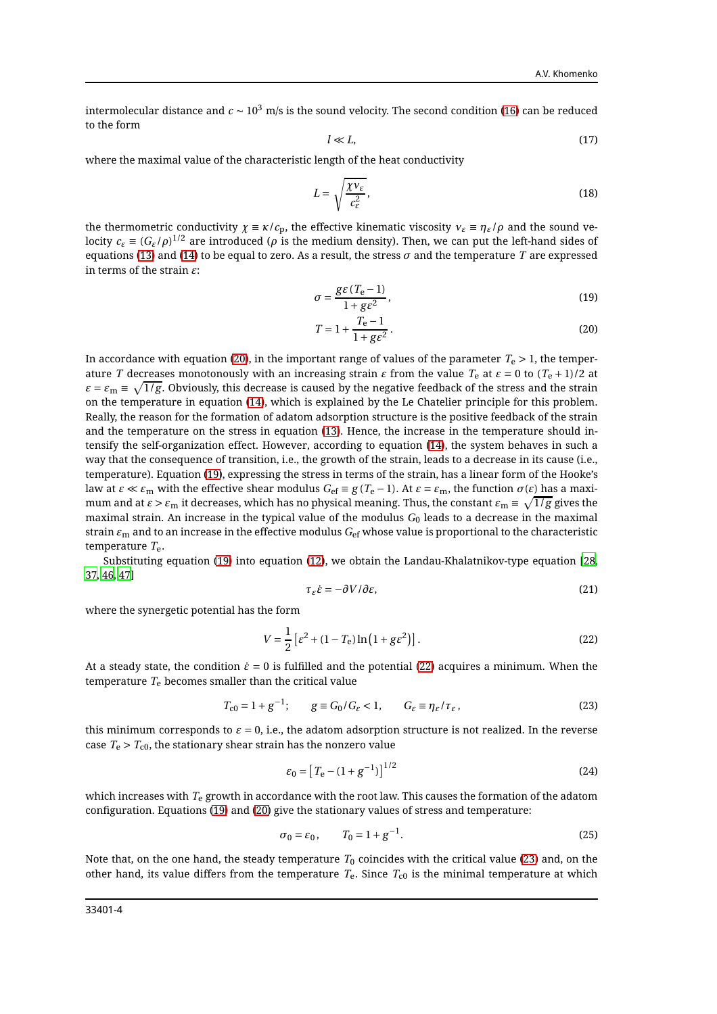intermolecular distance and  $c \sim 10^3$  m/s is the sound velocity. The second condition [\(16\)](#page-2-4) can be reduced to the form

$$
l \ll L,\tag{17}
$$

where the maximal value of the characteristic length of the heat conductivity

$$
L = \sqrt{\frac{\chi v_{\varepsilon}}{c_{\varepsilon}^2}},\tag{18}
$$

the thermometric conductivity  $\chi \equiv \kappa/c_p$ , the effective kinematic viscosity  $v_{\varepsilon} \equiv \eta_{\varepsilon}/\rho$  and the sound velocity  $c_\varepsilon\equiv (G_\varepsilon/\rho)^{1/2}$  are introduced ( $\rho$  is the medium density). Then, we can put the left-hand sides of equations [\(13\)](#page-2-3) and [\(14\)](#page-2-3) to be equal to zero. As a result, the stress *σ* and the temperature *T* are expressed in terms of the strain *ε*:

<span id="page-3-0"></span>
$$
\sigma = \frac{g\epsilon (T_{\rm e} - 1)}{1 + g\epsilon^2},\tag{19}
$$

$$
T = 1 + \frac{T_e - 1}{1 + g\varepsilon^2}.
$$
 (20)

In accordance with equation [\(20\)](#page-3-0), in the important range of values of the parameter  $T_e > 1$ , the temperature *T* decreases monotonously with an increasing strain *ε* from the value *T*<sup>e</sup> at *ε* = 0 to (*T*<sup>e</sup> + 1)/2 at  $\varepsilon$  =  $\varepsilon_{\rm m}$   $\equiv$   $\sqrt{1/g}.$  Obviously, this decrease is caused by the negative feedback of the stress and the strain on the temperature in equation [\(14\)](#page-2-3), which is explained by the Le Chatelier principle for this problem. Really, the reason for the formation of adatom adsorption structure is the positive feedback of the strain and the temperature on the stress in equation [\(13\)](#page-2-3). Hence, the increase in the temperature should intensify the self-organization effect. However, according to equation [\(14\)](#page-2-3), the system behaves in such a way that the consequence of transition, i.e., the growth of the strain, leads to a decrease in its cause (i.e., temperature). Equation [\(19\)](#page-3-0), expressing the stress in terms of the strain, has a linear form of the Hooke's law at *ε* ≪ *ε*<sub>m</sub> with the effective shear modulus  $G_{\text{ef}}$  ≡ *g*( $T_{\text{e}}$  − 1). At  $ε$  =  $ε$ <sub>m</sub>, the function  $σ(ε)$  has a maximum and at  $\varepsilon$  >  $\varepsilon_{\rm m}$  it decreases, which has no physical meaning. Thus, the constant  $\varepsilon_{\rm m}\equiv\sqrt{1/g}$  gives the maximal strain. An increase in the typical value of the modulus  $G_0$  leads to a decrease in the maximal strain *ε*<sup>m</sup> and to an increase in the effective modulus *G*ef whose value is proportional to the characteristic temperature *T*e.

Substituting equation [\(19\)](#page-3-0) into equation [\(12\)](#page-2-3), we obtain the Landau-Khalatnikov-type equation [\[28,](#page-8-12) [37,](#page-8-14) [46](#page-8-23), [47](#page-8-24)]

<span id="page-3-4"></span>
$$
\tau_{\varepsilon}\dot{\varepsilon} = -\partial V/\partial \varepsilon,\tag{21}
$$

where the synergetic potential has the form

<span id="page-3-1"></span>
$$
V = \frac{1}{2} \left[ \varepsilon^2 + (1 - T_e) \ln(1 + g \varepsilon^2) \right].
$$
 (22)

At a steady state, the condition  $\dot{\varepsilon} = 0$  is fulfilled and the potential [\(22\)](#page-3-1) acquires a minimum. When the temperature  $T_e$  becomes smaller than the critical value

<span id="page-3-2"></span>
$$
T_{c0} = 1 + g^{-1}; \qquad g \equiv G_0 / G_{\varepsilon} < 1, \qquad G_{\varepsilon} \equiv \eta_{\varepsilon} / \tau_{\varepsilon} \,, \tag{23}
$$

this minimum corresponds to  $\varepsilon = 0$ , i.e., the adatom adsorption structure is not realized. In the reverse case  $T_e > T_{c0}$ , the stationary shear strain has the nonzero value

$$
\varepsilon_0 = [T_{\rm e} - (1 + g^{-1})]^{1/2} \tag{24}
$$

which increases with *T*<sup>e</sup> growth in accordance with the root law. This causes the formation of the adatom configuration. Equations [\(19\)](#page-3-0) and [\(20\)](#page-3-0) give the stationary values of stress and temperature:

<span id="page-3-3"></span>
$$
\sigma_0 = \varepsilon_0, \qquad T_0 = 1 + g^{-1}.
$$
 (25)

Note that, on the one hand, the steady temperature  $T_0$  coincides with the critical value [\(23\)](#page-3-2) and, on the other hand, its value differs from the temperature *T*e. Since *T*c0 is the minimal temperature at which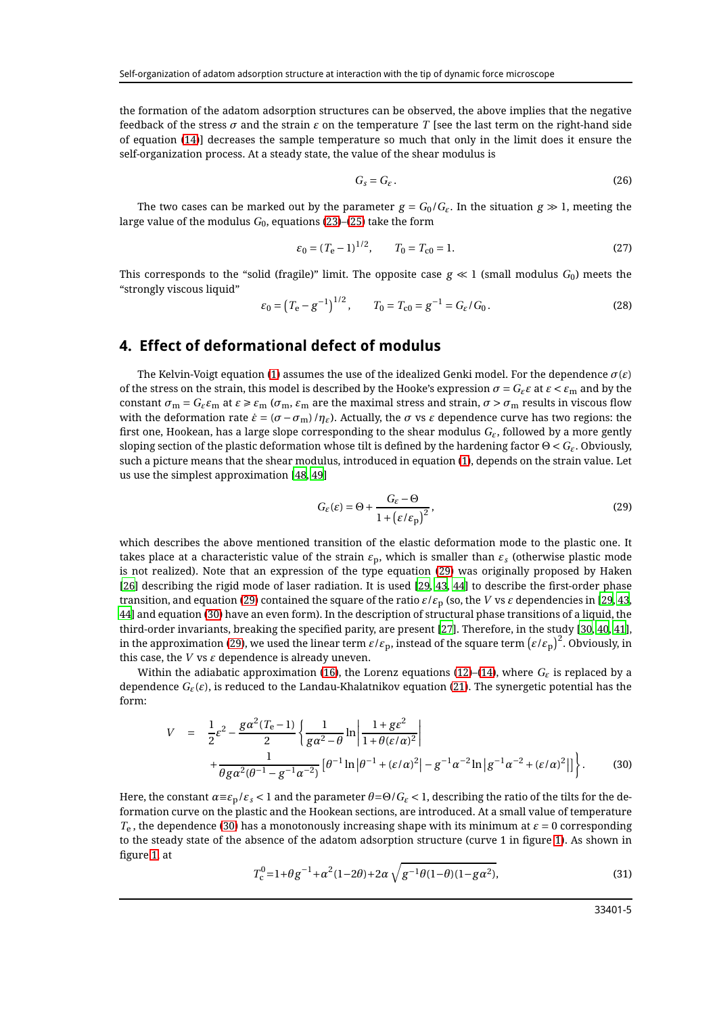the formation of the adatom adsorption structures can be observed, the above implies that the negative feedback of the stress  $\sigma$  and the strain  $\varepsilon$  on the temperature *T* [see the last term on the right-hand side of equation [\(14\)](#page-2-3)] decreases the sample temperature so much that only in the limit does it ensure the self-organization process. At a steady state, the value of the shear modulus is

$$
G_s = G_{\varepsilon} \,. \tag{26}
$$

The two cases can be marked out by the parameter  $g = G_0/G_e$ . In the situation  $g \gg 1$ , meeting the large value of the modulus  $G_0$ , equations [\(23\)](#page-3-2)–[\(25\)](#page-3-3) take the form

$$
\varepsilon_0 = (T_e - 1)^{1/2}, \qquad T_0 = T_{c0} = 1.
$$
\n(27)

This corresponds to the "solid (fragile)" limit. The opposite case  $g \ll 1$  (small modulus  $G_0$ ) meets the "strongly viscous liquid"

$$
\varepsilon_0 = \left(T_e - g^{-1}\right)^{1/2}, \qquad T_0 = T_{c0} = g^{-1} = G_\varepsilon / G_0. \tag{28}
$$

#### <span id="page-4-0"></span>**4. Effect of deformational defect of modulus**

The Kelvin-Voigt equation [\(1\)](#page-1-2) assumes the use of the idealized Genki model. For the dependence  $\sigma(\varepsilon)$ of the stress on the strain, this model is described by the Hooke's expression  $\sigma = G_{\epsilon} \varepsilon$  at  $\varepsilon < \varepsilon_m$  and by the constant  $\sigma_m = G_{\varepsilon} \varepsilon_m$  at  $\varepsilon \ge \varepsilon_m$  ( $\sigma_m$ ,  $\varepsilon_m$  are the maximal stress and strain,  $\sigma > \sigma_m$  results in viscous flow with the deformation rate  $\dot{\varepsilon} = (\sigma - \sigma_m)/\eta_{\varepsilon}$ ). Actually, the  $\sigma$  vs  $\varepsilon$  dependence curve has two regions: the first one, Hookean, has a large slope corresponding to the shear modulus *Gε*, followed by a more gently sloping section of the plastic deformation whose tilt is defined by the hardening factor Θ < *Gε*. Obviously, such a picture means that the shear modulus, introduced in equation [\(1\)](#page-1-2), depends on the strain value. Let us use the simplest approximation [\[48](#page-8-25), [49](#page-8-26)]

<span id="page-4-1"></span>
$$
G_{\varepsilon}(\varepsilon) = \Theta + \frac{G_{\varepsilon} - \Theta}{1 + (\varepsilon/\varepsilon_{\mathbf{p}})^2},
$$
\n(29)

which describes the above mentioned transition of the elastic deformation mode to the plastic one. It takes place at a characteristic value of the strain  $\varepsilon_p$ , which is smaller than  $\varepsilon_s$  (otherwise plastic mode is not realized). Note that an expression of the type equation [\(29\)](#page-4-1) was originally proposed by Haken [\[26\]](#page-8-4) describing the rigid mode of laser radiation. It is used [\[29,](#page-8-17) [43](#page-8-20), [44\]](#page-8-21) to describe the first-order phase transition, and equation [\(29\)](#page-4-1) contained the square of the ratio  $\varepsilon/\varepsilon_p$  (so, the *V* vs  $\varepsilon$  dependencies in [\[29,](#page-8-17) [43](#page-8-20), [44\]](#page-8-21) and equation [\(30\)](#page-4-2) have an even form). In the description of structural phase transitions of a liquid, the third-order invariants, breaking the specified parity, are present [\[27\]](#page-8-27). Therefore, in the study [\[30](#page-8-13), [40](#page-8-18), [41](#page-8-19)], in the approximation [\(29\)](#page-4-1), we used the linear term  $\varepsilon/\varepsilon_{\rm p}$ , instead of the square term  $\left(\varepsilon/\varepsilon_{\rm p}\right)^2$ . Obviously, in this case, the  $V$  vs  $\varepsilon$  dependence is already uneven.

Within the adiabatic approximation [\(16\)](#page-2-4), the Lorenz equations [\(12\)](#page-2-3)–[\(14\)](#page-2-3), where  $G_{\varepsilon}$  is replaced by a dependence *Gε*(*ε*), is reduced to the Landau-Khalatnikov equation [\(21\)](#page-3-4). The synergetic potential has the form:

<span id="page-4-2"></span>
$$
V = \frac{1}{2}\varepsilon^{2} - \frac{g\alpha^{2}(T_{e}-1)}{2} \left\{ \frac{1}{g\alpha^{2} - \theta} \ln \left| \frac{1 + g\varepsilon^{2}}{1 + \theta(\varepsilon/\alpha)^{2}} \right| + \frac{1}{\theta g\alpha^{2}(\theta^{-1} - g^{-1}\alpha^{-2})} \left[ \theta^{-1} \ln |\theta^{-1} + (\varepsilon/\alpha)^{2}| - g^{-1}\alpha^{-2} \ln |g^{-1}\alpha^{-2} + (\varepsilon/\alpha)^{2}| \right] \right\}.
$$
 (30)

Here, the constant  $\alpha \equiv \varepsilon_p/\varepsilon_s < 1$  and the parameter  $\theta = \Theta/G_\varepsilon < 1$ , describing the ratio of the tilts for the deformation curve on the plastic and the Hookean sections, are introduced. At a small value of temperature  $T_e$ , the dependence [\(30\)](#page-4-2) has a monotonously increasing shape with its minimum at  $\varepsilon = 0$  corresponding to the steady state of the absence of the adatom adsorption structure (curve 1 in figure [1\)](#page-5-0). As shown in figure [1,](#page-5-0) at

<span id="page-4-3"></span>
$$
T_{\rm c}^{0} = 1 + \theta g^{-1} + \alpha^{2} (1 - 2\theta) + 2\alpha \sqrt{g^{-1} \theta (1 - \theta) (1 - g\alpha^{2})},\tag{31}
$$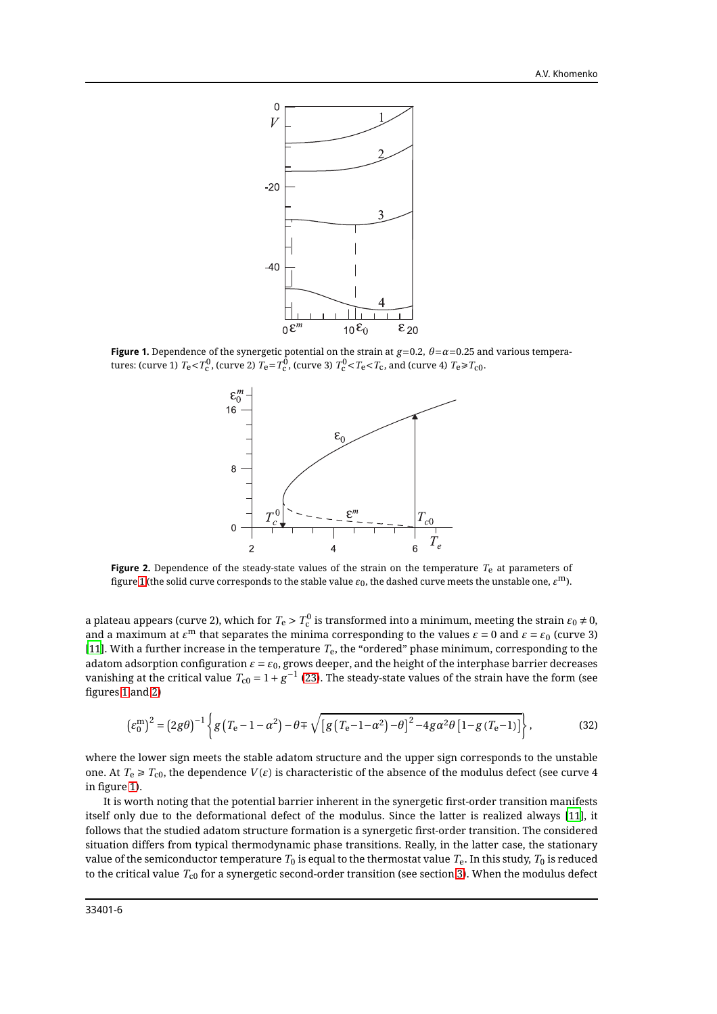

<span id="page-5-0"></span>**Figure 1.** Dependence of the synergetic potential on the strain at  $g=0.2$ ,  $\theta=\alpha=0.25$  and various temperatures: (curve 1)  $T_e < T_c^0$ , (curve 2)  $T_e = T_c^0$ , (curve 3)  $T_c^0 < T_c < T_c$ , and (curve 4)  $T_e \ge T_{c0}$ .



<span id="page-5-1"></span>**Figure 2.** Dependence of the steady-state values of the strain on the temperature *T*e at parameters of figure [1](#page-5-0) (the solid curve corresponds to the stable value  $\varepsilon_0$ , the dashed curve meets the unstable one,  $\varepsilon^{\rm m}$ ).

a plateau appears (curve 2), which for  $T_{\rm e} > T_{\rm c}^0$  is transformed into a minimum, meeting the strain  $\varepsilon_0 \neq 0$ , and a maximum at  $\varepsilon^{\rm m}$  that separates the minima corresponding to the values  $\varepsilon = 0$  and  $\varepsilon = \varepsilon_0$  (curve 3) [\[11\]](#page-7-3). With a further increase in the temperature *T*e, the "ordered" phase minimum, corresponding to the adatom adsorption configuration  $\varepsilon = \varepsilon_0$ , grows deeper, and the height of the interphase barrier decreases vanishing at the critical value  $T_{\rm c0} = 1 + g^{-1}$  [\(23\)](#page-3-2). The steady-state values of the strain have the form (see figures [1](#page-5-0) and [2\)](#page-5-1)

<span id="page-5-2"></span>
$$
\left(\varepsilon_0^{\mathrm{m}}\right)^2 = \left(2g\theta\right)^{-1} \left\{ g\left(T_{\mathrm{e}} - 1 - \alpha^2\right) - \theta \mp \sqrt{\left[g\left(T_{\mathrm{e}} - 1 - \alpha^2\right) - \theta\right]^2 - 4g\alpha^2\theta \left[1 - g\left(T_{\mathrm{e}} - 1\right)\right]} \right\},\tag{32}
$$

where the lower sign meets the stable adatom structure and the upper sign corresponds to the unstable one. At  $T_e \geq T_{c0}$ , the dependence  $V(\varepsilon)$  is characteristic of the absence of the modulus defect (see curve 4 in figure [1\)](#page-5-0).

It is worth noting that the potential barrier inherent in the synergetic first-order transition manifests itself only due to the deformational defect of the modulus. Since the latter is realized always [\[11\]](#page-7-3), it follows that the studied adatom structure formation is a synergetic first-order transition. The considered situation differs from typical thermodynamic phase transitions. Really, in the latter case, the stationary value of the semiconductor temperature  $T_0$  is equal to the thermostat value  $T_e$ . In this study,  $T_0$  is reduced to the critical value  $T_{c0}$  for a synergetic second-order transition (see section [3\)](#page-2-0). When the modulus defect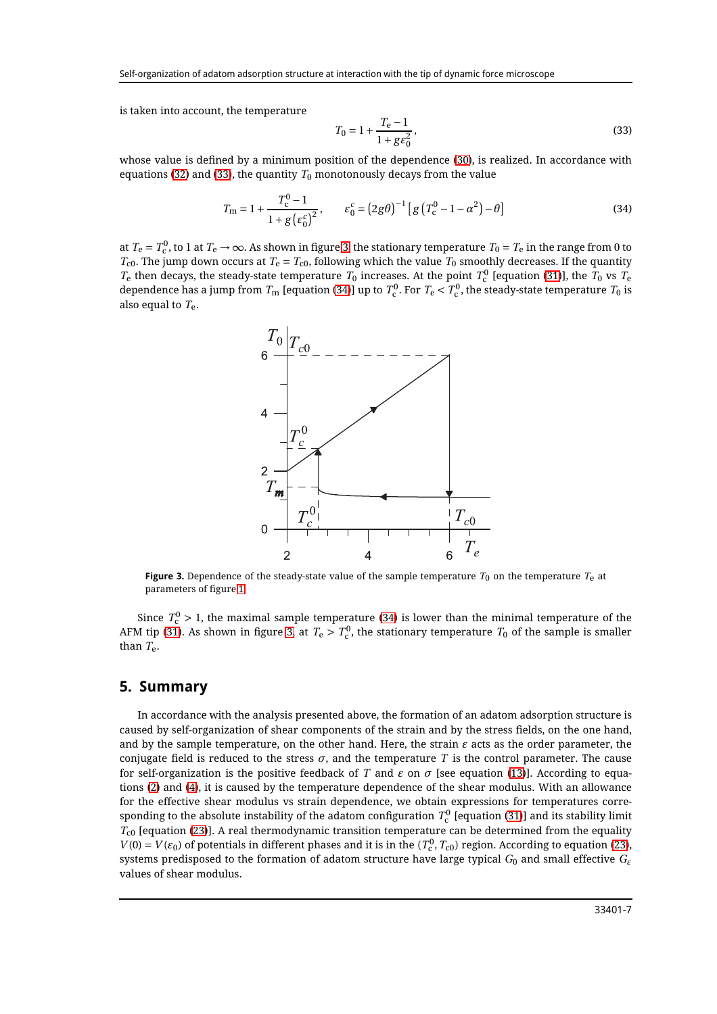is taken into account, the temperature

<span id="page-6-1"></span>
$$
T_0 = 1 + \frac{T_e - 1}{1 + g\epsilon_0^2},\tag{33}
$$

whose value is defined by a minimum position of the dependence [\(30\)](#page-4-2), is realized. In accordance with equations [\(32\)](#page-5-2) and [\(33\)](#page-6-1), the quantity  $T_0$  monotonously decays from the value

<span id="page-6-3"></span>
$$
T_{\rm m} = 1 + \frac{T_{\rm c}^0 - 1}{1 + g \left(\varepsilon_0^c\right)^2}, \qquad \varepsilon_0^c = \left(2g\theta\right)^{-1} \left[g\left(T_{\rm c}^0 - 1 - \alpha^2\right) - \theta\right]
$$
(34)

at  $T_{\rm e}=T_{\rm c}^0$ , to 1 at  $T_{\rm e}\to\infty$ . As shown in figure [3,](#page-6-2) the stationary temperature  $T_0=T_{\rm e}$  in the range from 0 to  $T_{c0}$ . The jump down occurs at  $T_e = T_{c0}$ , following which the value  $T_0$  smoothly decreases. If the quantity  $T_e$  then decays, the steady-state temperature  $T_0$  increases. At the point  $T_c^0$  [equation [\(31\)](#page-4-3)], the  $T_0$  vs  $T_e$ dependence has a jump from  $T_{\rm m}$  [equation [\(34\)](#page-6-3)] up to  $T_{\rm c}^0$ . For  $T_{\rm e} < T_{\rm c}^0$ , the steady-state temperature  $T_0$  is also equal to *T*e.



<span id="page-6-2"></span>**Figure 3.** Dependence of the steady-state value of the sample temperature  $T_0$  on the temperature  $T_e$  at parameters of figure [1.](#page-5-0)

Since  $T_{\rm c}^0 >$  1, the maximal sample temperature [\(34\)](#page-6-3) is lower than the minimal temperature of the AFM tip [\(31\)](#page-4-3). As shown in figure [3,](#page-6-2) at  $T_{\rm e} > T_{\rm c}^0$ , the stationary temperature  $T_0$  of the sample is smaller than *T*e.

#### <span id="page-6-0"></span>**5. Summary**

In accordance with the analysis presented above, the formation of an adatom adsorption structure is caused by self-organization of shear components of the strain and by the stress fields, on the one hand, and by the sample temperature, on the other hand. Here, the strain  $\varepsilon$  acts as the order parameter, the conjugate field is reduced to the stress  $\sigma$ , and the temperature *T* is the control parameter. The cause for self-organization is the positive feedback of *T* and  $\varepsilon$  on  $\sigma$  [see equation [\(13\)](#page-2-3)]. According to equations [\(2\)](#page-1-1) and [\(4\)](#page-1-4), it is caused by the temperature dependence of the shear modulus. With an allowance for the effective shear modulus vs strain dependence, we obtain expressions for temperatures corresponding to the absolute instability of the adatom configuration  $T_{\rm c}^0$  [equation [\(31\)](#page-4-3)] and its stability limit *T*c0 [equation [\(23\)](#page-3-2)]. A real thermodynamic transition temperature can be determined from the equality  $V(0) = V(\varepsilon_0)$  of potentials in different phases and it is in the  $(T_c^0, T_{c0})$  region. According to equation [\(23\)](#page-3-2), systems predisposed to the formation of adatom structure have large typical *G*<sup>0</sup> and small effective *G<sup>ε</sup>* values of shear modulus.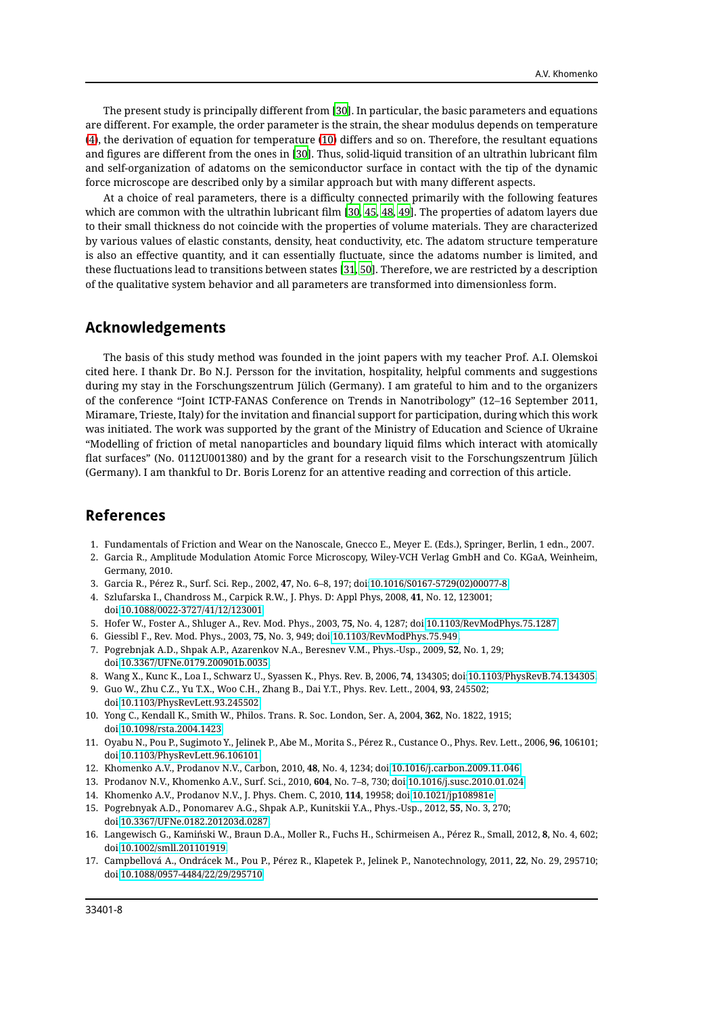The present study is principally different from [\[30](#page-8-13)]. In particular, the basic parameters and equations are different. For example, the order parameter is the strain, the shear modulus depends on temperature [\(4\)](#page-1-4), the derivation of equation for temperature [\(10\)](#page-2-2) differs and so on. Therefore, the resultant equations and figures are different from the ones in [\[30](#page-8-13)]. Thus, solid-liquid transition of an ultrathin lubricant film and self-organization of adatoms on the semiconductor surface in contact with the tip of the dynamic force microscope are described only by a similar approach but with many different aspects.

At a choice of real parameters, there is a difficulty connected primarily with the following features which are common with the ultrathin lubricant film [\[30](#page-8-13), [45](#page-8-22), [48](#page-8-25), [49](#page-8-26)]. The properties of adatom layers due to their small thickness do not coincide with the properties of volume materials. They are characterized by various values of elastic constants, density, heat conductivity, etc. The adatom structure temperature is also an effective quantity, and it can essentially fluctuate, since the adatoms number is limited, and these fluctuations lead to transitions between states [\[31,](#page-8-5) [50](#page-8-28)]. Therefore, we are restricted by a description of the qualitative system behavior and all parameters are transformed into dimensionless form.

#### **Acknowledgements**

The basis of this study method was founded in the joint papers with my teacher Prof. A.I. Olemskoi cited here. I thank Dr. Bo N.J. Persson for the invitation, hospitality, helpful comments and suggestions during my stay in the Forschungszentrum Jülich (Germany). I am grateful to him and to the organizers of the conference "Joint ICTP-FANAS Conference on Trends in Nanotribology" (12–16 September 2011, Miramare, Trieste, Italy) for the invitation and financial support for participation, during which this work was initiated. The work was supported by the grant of the Ministry of Education and Science of Ukraine "Modelling of friction of metal nanoparticles and boundary liquid films which interact with atomically flat surfaces" (No. 0112U001380) and by the grant for a research visit to the Forschungszentrum Jülich (Germany). I am thankful to Dr. Boris Lorenz for an attentive reading and correction of this article.

### **References**

- <span id="page-7-0"></span>1. Fundamentals of Friction and Wear on the Nanoscale, Gnecco E., Meyer E. (Eds.), Springer, Berlin, 1 edn., 2007.
- 2. Garcia R., Amplitude Modulation Atomic Force Microscopy, Wiley-VCH Verlag GmbH and Co. KGaA, Weinheim, Germany, 2010.
- <span id="page-7-5"></span>3. Garcia R., Pérez R., Surf. Sci. Rep., 2002, **47**, No. 6–8, 197; doi[:10.1016/S0167-5729\(02\)00077-8.](http://dx.doi.org/10.1016/S0167-5729(02)00077-8)
- 4. Szlufarska I., Chandross M., Carpick R.W., J. Phys. D: Appl Phys, 2008, **41**, No. 12, 123001; doi[:10.1088/0022-3727/41/12/123001.](http://dx.doi.org/10.1088/0022-3727/41/12/123001)
- 5. Hofer W., Foster A., Shluger A., Rev. Mod. Phys., 2003, **75**, No. 4, 1287; doi[:10.1103/RevModPhys.75.1287.](http://dx.doi.org/10.1103/RevModPhys.75.1287)
- <span id="page-7-1"></span>6. Giessibl F., Rev. Mod. Phys., 2003, **75**, No. 3, 949; doi[:10.1103/RevModPhys.75.949.](http://dx.doi.org/10.1103/RevModPhys.75.949)
- <span id="page-7-2"></span>7. Pogrebnjak A.D., Shpak A.P., Azarenkov N.A., Beresnev V.M., Phys.-Usp., 2009, **52**, No. 1, 29; doi[:10.3367/UFNe.0179.200901b.0035.](http://dx.doi.org/10.3367/UFNe.0179.200901b.0035)
- 8. Wang X., Kunc K., Loa I., Schwarz U., Syassen K., Phys. Rev. B, 2006, **74**, 134305; doi[:10.1103/PhysRevB.74.134305.](http://dx.doi.org/10.1103/PhysRevB.74.134305)
- 9. Guo W., Zhu C.Z., Yu T.X., Woo C.H., Zhang B., Dai Y.T., Phys. Rev. Lett., 2004, **93**, 245502; doi[:10.1103/PhysRevLett.93.245502.](http://dx.doi.org/10.1103/PhysRevLett.93.245502)
- 10. Yong C., Kendall K., Smith W., Philos. Trans. R. Soc. London, Ser. A, 2004, **362**, No. 1822, 1915; doi[:10.1098/rsta.2004.1423.](http://dx.doi.org/10.1098/rsta.2004.1423)
- <span id="page-7-3"></span>11. Oyabu N., Pou P., Sugimoto Y., Jelinek P., Abe M., Morita S., Pérez R., Custance O., Phys. Rev. Lett., 2006, **96**, 106101; doi[:10.1103/PhysRevLett.96.106101.](http://dx.doi.org/10.1103/PhysRevLett.96.106101)
- 12. Khomenko A.V., Prodanov N.V., Carbon, 2010, **48**, No. 4, 1234; doi[:10.1016/j.carbon.2009.11.046.](http://dx.doi.org/10.1016/j.carbon.2009.11.046)
- 13. Prodanov N.V., Khomenko A.V., Surf. Sci., 2010, **604**, No. 7–8, 730; doi[:10.1016/j.susc.2010.01.024.](http://dx.doi.org/10.1016/j.susc.2010.01.024)
- 14. Khomenko A.V., Prodanov N.V., J. Phys. Chem. C, 2010, **114**, 19958; doi[:10.1021/jp108981e.](http://dx.doi.org/10.1021/jp108981e)
- 15. Pogrebnyak A.D., Ponomarev A.G., Shpak A.P., Kunitskii Y.A., Phys.-Usp., 2012, **55**, No. 3, 270; doi[:10.3367/UFNe.0182.201203d.0287.](http://dx.doi.org/10.3367/UFNe.0182.201203d.0287)
- <span id="page-7-4"></span>16. Langewisch G., Kamiński W., Braun D.A., Moller R., Fuchs H., Schirmeisen A., Pérez R., Small, 2012, **8**, No. 4, 602; doi[:10.1002/smll.201101919.](http://dx.doi.org/10.1002/smll.201101919)
- 17. Campbellová A., Ondrácek M., Pou P., Pérez R., Klapetek P., Jelinek P., Nanotechnology, 2011, **22**, No. 29, 295710; doi[:10.1088/0957-4484/22/29/295710.](http://dx.doi.org/10.1088/0957-4484/22/29/295710)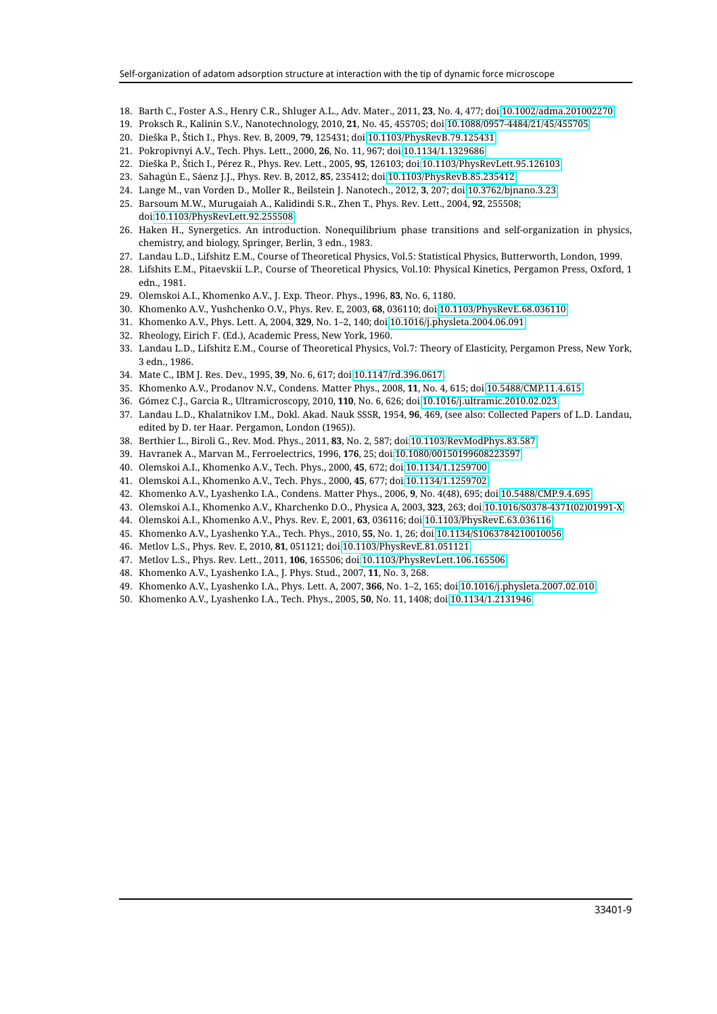- <span id="page-8-8"></span>18. Barth C., Foster A.S., Henry C.R., Shluger A.L., Adv. Mater., 2011, **23**, No. 4, 477; doi[:10.1002/adma.201002270.](http://dx.doi.org/10.1002/adma.201002270)
- 19. Proksch R., Kalinin S.V., Nanotechnology, 2010, **21**, No. 45, 455705; doi[:10.1088/0957-4484/21/45/455705.](http://dx.doi.org/10.1088/0957-4484/21/45/455705)
- <span id="page-8-0"></span>20. Dieška P., Štich I., Phys. Rev. B, 2009, **79**, 125431; doi[:10.1103/PhysRevB.79.125431.](http://dx.doi.org/10.1103/PhysRevB.79.125431)
- <span id="page-8-1"></span>21. Pokropivnyi A.V., Tech. Phys. Lett., 2000, **26**, No. 11, 967; doi[:10.1134/1.1329686.](http://dx.doi.org/10.1134/1.1329686)
- 22. Dieška P., Štich I., Pérez R., Phys. Rev. Lett., 2005, **95**, 126103; doi[:10.1103/PhysRevLett.95.126103.](http://dx.doi.org/10.1103/PhysRevLett.95.126103)
- 23. Sahagún E., Sáenz J.J., Phys. Rev. B, 2012, **85**, 235412; doi[:10.1103/PhysRevB.85.235412.](http://dx.doi.org/10.1103/PhysRevB.85.235412)
- <span id="page-8-2"></span>24. Lange M., van Vorden D., Moller R., Beilstein J. Nanotech., 2012, **3**, 207; doi[:10.3762/bjnano.3.23.](http://dx.doi.org/10.3762/bjnano.3.23)
- <span id="page-8-3"></span>25. Barsoum M.W., Murugaiah A., Kalidindi S.R., Zhen T., Phys. Rev. Lett., 2004, **92**, 255508; doi[:10.1103/PhysRevLett.92.255508.](http://dx.doi.org/10.1103/PhysRevLett.92.255508)
- <span id="page-8-4"></span>26. Haken H., Synergetics. An introduction. Nonequilibrium phase transitions and self-organization in physics, chemistry, and biology, Springer, Berlin, 3 edn., 1983.
- <span id="page-8-27"></span>27. Landau L.D., Lifshitz E.M., Course of Theoretical Physics, Vol.5: Statistical Physics, Butterworth, London, 1999.
- <span id="page-8-12"></span>28. Lifshits E.M., Pitaevskii L.P., Course of Theoretical Physics, Vol.10: Physical Kinetics, Pergamon Press, Oxford, 1 edn., 1981.
- <span id="page-8-17"></span>29. Olemskoi A.I., Khomenko A.V., J. Exp. Theor. Phys., 1996, **83**, No. 6, 1180.
- <span id="page-8-13"></span>30. Khomenko A.V., Yushchenko O.V., Phys. Rev. E, 2003, **68**, 036110; doi[:10.1103/PhysRevE.68.036110.](http://dx.doi.org/10.1103/PhysRevE.68.036110)
- <span id="page-8-5"></span>31. Khomenko A.V., Phys. Lett. A, 2004, **329**, No. 1–2, 140; doi[:10.1016/j.physleta.2004.06.091.](http://dx.doi.org/10.1016/j.physleta.2004.06.091)
- <span id="page-8-6"></span>32. Rheology, Eirich F. (Ed.), Academic Press, New York, 1960.
- <span id="page-8-7"></span>33. Landau L.D., Lifshitz E.M., Course of Theoretical Physics, Vol.7: Theory of Elasticity, Pergamon Press, New York, 3 edn., 1986.
- <span id="page-8-9"></span>34. Mate C., IBM J. Res. Dev., 1995, **39**, No. 6, 617; doi[:10.1147/rd.396.0617.](http://dx.doi.org/10.1147/rd.396.0617)
- <span id="page-8-10"></span>35. Khomenko A.V., Prodanov N.V., Condens. Matter Phys., 2008, **11**, No. 4, 615; doi[:10.5488/CMP.11.4.615.](http://dx.doi.org/10.5488/CMP.11.4.615)
- <span id="page-8-11"></span>36. Gómez C.J., Garcia R., Ultramicroscopy, 2010, **110**, No. 6, 626; doi[:10.1016/j.ultramic.2010.02.023.](http://dx.doi.org/10.1016/j.ultramic.2010.02.023)
- <span id="page-8-14"></span>37. Landau L.D., Khalatnikov I.M., Dokl. Akad. Nauk SSSR, 1954, **96**, 469, (see also: Collected Papers of L.D. Landau, edited by D. ter Haar. Pergamon, London (1965)).
- <span id="page-8-15"></span>38. Berthier L., Biroli G., Rev. Mod. Phys., 2011, **83**, No. 2, 587; doi[:10.1103/RevModPhys.83.587.](http://dx.doi.org/10.1103/RevModPhys.83.587)
- 39. Havranek A., Marvan M., Ferroelectrics, 1996, **176**, 25; doi[:10.1080/00150199608223597.](http://dx.doi.org/10.1080/00150199608223597)
- <span id="page-8-18"></span>40. Olemskoi A.I., Khomenko A.V., Tech. Phys., 2000, **45**, 672; doi[:10.1134/1.1259700.](http://dx.doi.org/10.1134/1.1259700)
- <span id="page-8-19"></span>41. Olemskoi A.I., Khomenko A.V., Tech. Phys., 2000, **45**, 677; doi[:10.1134/1.1259702.](http://dx.doi.org/10.1134/1.1259702)
- <span id="page-8-16"></span>42. Khomenko A.V., Lyashenko I.A., Condens. Matter Phys., 2006, **9**, No. 4(48), 695; doi[:10.5488/CMP.9.4.695.](http://dx.doi.org/10.5488/CMP.9.4.695)
- <span id="page-8-20"></span>43. Olemskoi A.I., Khomenko A.V., Kharchenko D.O., Physica A, 2003, **323**, 263; doi[:10.1016/S0378-4371\(02\)01991-X.](http://dx.doi.org/10.1016/S0378-4371(02)01991-X)
- <span id="page-8-21"></span>44. Olemskoi A.I., Khomenko A.V., Phys. Rev. E, 2001, **63**, 036116; doi[:10.1103/PhysRevE.63.036116.](http://dx.doi.org/10.1103/PhysRevE.63.036116)
- <span id="page-8-22"></span>45. Khomenko A.V., Lyashenko Y.A., Tech. Phys., 2010, **55**, No. 1, 26; doi[:10.1134/S1063784210010056.](http://dx.doi.org/10.1134/S1063784210010056)
- <span id="page-8-23"></span>46. Metlov L.S., Phys. Rev. E, 2010, **81**, 051121; doi[:10.1103/PhysRevE.81.051121.](http://dx.doi.org/10.1103/PhysRevE.81.051121)
- <span id="page-8-24"></span>47. Metlov L.S., Phys. Rev. Lett., 2011, **106**, 165506; doi[:10.1103/PhysRevLett.106.165506.](http://dx.doi.org/10.1103/PhysRevLett.106.165506)
- <span id="page-8-25"></span>48. Khomenko A.V., Lyashenko I.A., J. Phys. Stud., 2007, **11**, No. 3, 268.
- <span id="page-8-26"></span>49. Khomenko A.V., Lyashenko I.A., Phys. Lett. A, 2007, **366**, No. 1–2, 165; doi[:10.1016/j.physleta.2007.02.010.](http://dx.doi.org/10.1016/j.physleta.2007.02.010)
- <span id="page-8-28"></span>50. Khomenko A.V., Lyashenko I.A., Tech. Phys., 2005, **50**, No. 11, 1408; doi[:10.1134/1.2131946.](http://dx.doi.org/10.1134/1.2131946)